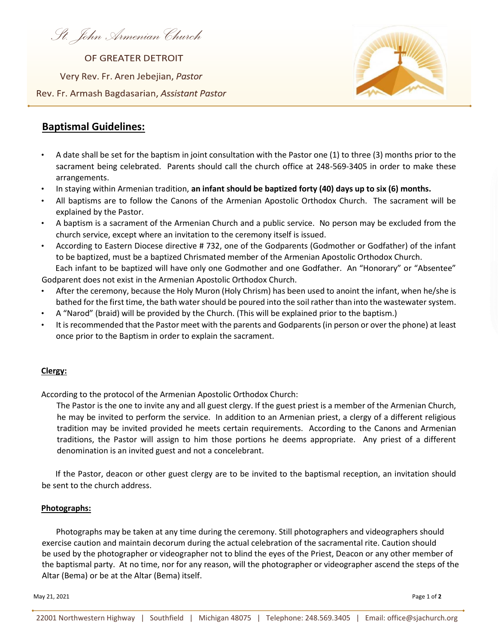*St. John Armenian Church* 

OF GREATER DETROIT Very Rev. Fr. Aren Jebejian, Pastor Rev. Fr. Armash Bagdasarian, Assistant Pastor



# **Baptismal Guidelines:**

- A date shall be set for the baptism in joint consultation with the Pastor one (1) to three (3) months prior to the sacrament being celebrated. Parents should call the church office at 248-569-3405 in order to make these arrangements.
- In staying within Armenian tradition, **an infant should be baptized forty (40) days up to six (6) months.**
- All baptisms are to follow the Canons of the Armenian Apostolic Orthodox Church. The sacrament will be explained by the Pastor.
- A baptism is a sacrament of the Armenian Church and a public service. No person may be excluded from the church service, except where an invitation to the ceremony itself is issued.
- According to Eastern Diocese directive # 732, one of the Godparents (Godmother or Godfather) of the infant to be baptized, must be a baptized Chrismated member of the Armenian Apostolic Orthodox Church. Each infant to be baptized will have only one Godmother and one Godfather. An "Honorary" or "Absentee"

Godparent does not exist in the Armenian Apostolic Orthodox Church.

- After the ceremony, because the Holy Muron (Holy Chrism) has been used to anoint the infant, when he/she is bathed for the first time, the bath water should be poured into the soil rather than into the wastewater system.
- A "Narod" (braid) will be provided by the Church. (This will be explained prior to the baptism.)
- It is recommended that the Pastor meet with the parents and Godparents (in person or over the phone) at least once prior to the Baptism in order to explain the sacrament.

## **Clergy:**

According to the protocol of the Armenian Apostolic Orthodox Church:

The Pastor is the one to invite any and all guest clergy. If the guest priest is a member of the Armenian Church, he may be invited to perform the service. In addition to an Armenian priest, a clergy of a different religious tradition may be invited provided he meets certain requirements. According to the Canons and Armenian traditions, the Pastor will assign to him those portions he deems appropriate. Any priest of a different denomination is an invited guest and not a concelebrant.

 If the Pastor, deacon or other guest clergy are to be invited to the baptismal reception, an invitation should be sent to the church address.

## **Photographs:**

 Photographs may be taken at any time during the ceremony. Still photographers and videographers should exercise caution and maintain decorum during the actual celebration of the sacramental rite. Caution should be used by the photographer or videographer not to blind the eyes of the Priest, Deacon or any other member of the baptismal party. At no time, nor for any reason, will the photographer or videographer ascend the steps of the Altar (Bema) or be at the Altar (Bema) itself.

May 21, 2021 Page 1 of **2**